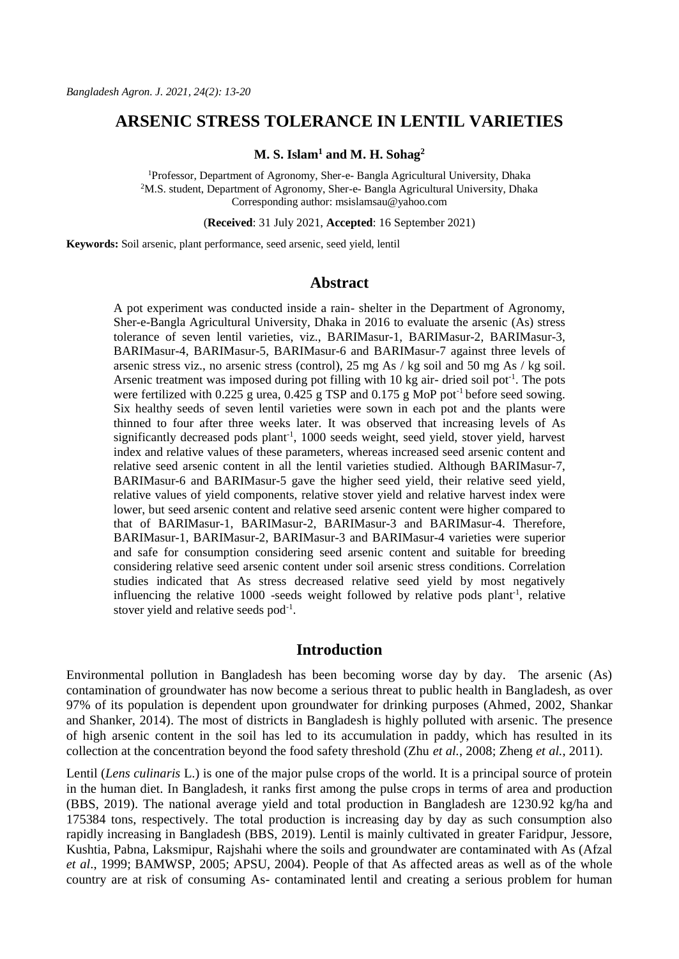# **ARSENIC STRESS TOLERANCE IN LENTIL VARIETIES**

**M. S. Islam<sup>1</sup> and M. H. Sohag<sup>2</sup>**

<sup>1</sup>Professor, Department of Agronomy, Sher-e- Bangla Agricultural University, Dhaka <sup>2</sup>M.S. student, Department of Agronomy, Sher-e- Bangla Agricultural University, Dhaka Corresponding author: [msislamsau@yahoo.com](mailto:msislamsau@yahoo.com)

(**Received**: 31 July 2021, **Accepted**: 16 September 2021)

**Keywords:** Soil arsenic, plant performance, seed arsenic, seed yield, lentil

### **Abstract**

A pot experiment was conducted inside a rain- shelter in the Department of Agronomy, Sher-e-Bangla Agricultural University, Dhaka in 2016 to evaluate the arsenic (As) stress tolerance of seven lentil varieties, viz., BARIMasur-1, BARIMasur-2, BARIMasur-3, BARIMasur-4, BARIMasur-5, BARIMasur-6 and BARIMasur-7 against three levels of arsenic stress viz., no arsenic stress (control), 25 mg As / kg soil and 50 mg As / kg soil. Arsenic treatment was imposed during pot filling with 10 kg air- dried soil pot<sup>-1</sup>. The pots were fertilized with 0.225 g urea,  $0.425$  g TSP and  $0.175$  g MoP pot<sup>-1</sup> before seed sowing. Six healthy seeds of seven lentil varieties were sown in each pot and the plants were thinned to four after three weeks later. It was observed that increasing levels of As significantly decreased pods plant<sup>-1</sup>, 1000 seeds weight, seed yield, stover yield, harvest index and relative values of these parameters, whereas increased seed arsenic content and relative seed arsenic content in all the lentil varieties studied. Although BARIMasur-7, BARIMasur-6 and BARIMasur-5 gave the higher seed yield, their relative seed yield, relative values of yield components, relative stover yield and relative harvest index were lower, but seed arsenic content and relative seed arsenic content were higher compared to that of BARIMasur-1, BARIMasur-2, BARIMasur-3 and BARIMasur-4. Therefore, BARIMasur-1, BARIMasur-2, BARIMasur-3 and BARIMasur-4 varieties were superior and safe for consumption considering seed arsenic content and suitable for breeding considering relative seed arsenic content under soil arsenic stress conditions. Correlation studies indicated that As stress decreased relative seed yield by most negatively influencing the relative  $1000$  -seeds weight followed by relative pods plant<sup>-1</sup>, relative stover yield and relative seeds  $pod^{-1}$ .

## **Introduction**

Environmental pollution in Bangladesh has been becoming worse day by day. The arsenic (As) contamination of groundwater has now become a serious threat to public health in Bangladesh, as over 97% of its population is dependent upon groundwater for drinking purposes (Ahmed, 2002, Shankar and Shanker, 2014). The most of districts in Bangladesh is highly polluted with arsenic. The presence of high arsenic content in the soil has led to its accumulation in paddy, which has resulted in its collection at the concentration beyond the food safety threshold (Zhu *et al.*, 2008; Zheng *et al.*, 2011).

Lentil (*Lens culinaris* L.) is one of the major pulse crops of the world. It is a principal source of protein in the human diet. In Bangladesh, it ranks first among the pulse crops in terms of area and production (BBS, 2019). The national average yield and total production in Bangladesh are 1230.92 kg/ha and 175384 tons, respectively. The total production is increasing day by day as such consumption also rapidly increasing in Bangladesh (BBS, 2019). Lentil is mainly cultivated in greater Faridpur, Jessore, Kushtia, Pabna, Laksmipur, Rajshahi where the soils and groundwater are contaminated with As (Afzal *et al*., 1999; BAMWSP, 2005; APSU, 2004). People of that As affected areas as well as of the whole country are at risk of consuming As- contaminated lentil and creating a serious problem for human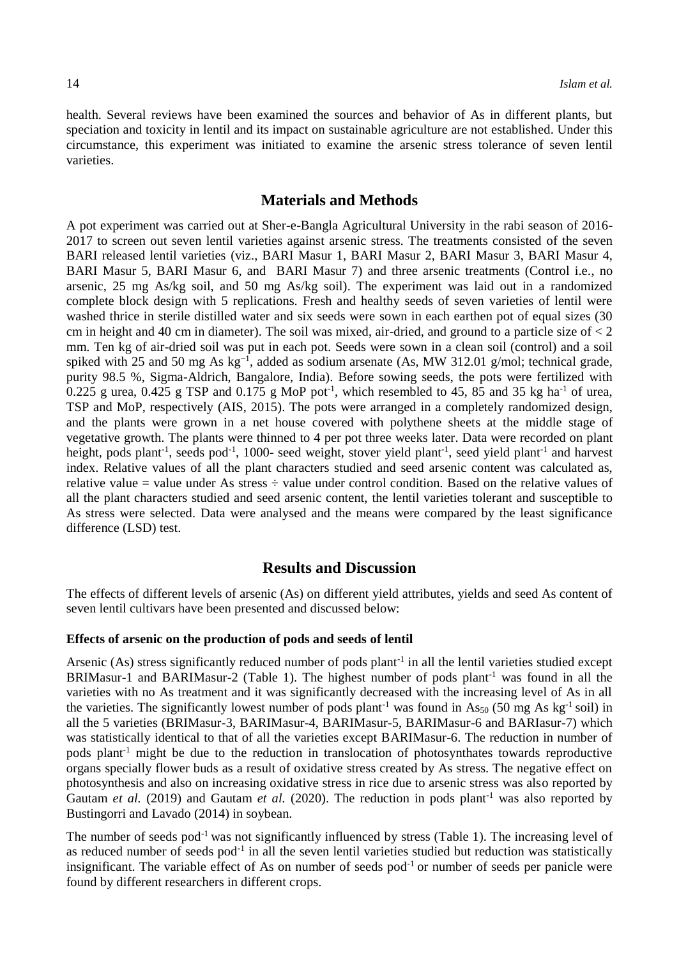health. Several reviews have been examined the sources and behavior of As in different plants, but speciation and toxicity in lentil and its impact on sustainable agriculture are not established. Under this circumstance, this experiment was initiated to examine the arsenic stress tolerance of seven lentil varieties.

# **Materials and Methods**

A pot experiment was carried out at Sher-e-Bangla Agricultural University in the rabi season of 2016- 2017 to screen out seven lentil varieties against arsenic stress. The treatments consisted of the seven BARI released lentil varieties (viz., BARI Masur 1, BARI Masur 2, BARI Masur 3, BARI Masur 4, BARI Masur 5, BARI Masur 6, and BARI Masur 7) and three arsenic treatments (Control i.e., no arsenic, 25 mg As/kg soil, and 50 mg As/kg soil). The experiment was laid out in a randomized complete block design with 5 replications. Fresh and healthy seeds of seven varieties of lentil were washed thrice in sterile distilled water and six seeds were sown in each earthen pot of equal sizes (30 cm in height and 40 cm in diameter). The soil was mixed, air-dried, and ground to a particle size of  $\lt 2$ mm. Ten kg of air-dried soil was put in each pot. Seeds were sown in a clean soil (control) and a soil spiked with 25 and 50 mg As kg<sup>-1</sup>, added as sodium arsenate (As, MW 312.01 g/mol; technical grade, purity 98.5 %, Sigma-Aldrich, Bangalore, India). Before sowing seeds, the pots were fertilized with 0.225 g urea, 0.425 g TSP and 0.175 g MoP pot<sup>-1</sup>, which resembled to 45, 85 and 35 kg ha<sup>-1</sup> of urea, TSP and MoP, respectively (AIS, 2015). The pots were arranged in a completely randomized design, and the plants were grown in a net house covered with polythene sheets at the middle stage of vegetative growth. The plants were thinned to 4 per pot three weeks later. Data were recorded on plant height, pods plant<sup>-1</sup>, seeds pod<sup>-1</sup>, 1000- seed weight, stover yield plant<sup>-1</sup>, seed yield plant<sup>-1</sup> and harvest index. Relative values of all the plant characters studied and seed arsenic content was calculated as, relative value = value under As stress  $\div$  value under control condition. Based on the relative values of all the plant characters studied and seed arsenic content, the lentil varieties tolerant and susceptible to As stress were selected. Data were analysed and the means were compared by the least significance difference (LSD) test.

# **Results and Discussion**

The effects of different levels of arsenic (As) on different yield attributes, yields and seed As content of seven lentil cultivars have been presented and discussed below:

#### **Effects of arsenic on the production of pods and seeds of lentil**

Arsenic (As) stress significantly reduced number of pods plant<sup>-1</sup> in all the lentil varieties studied except BRIMasur-1 and BARIMasur-2 (Table 1). The highest number of pods plant<sup>-1</sup> was found in all the varieties with no As treatment and it was significantly decreased with the increasing level of As in all the varieties. The significantly lowest number of pods plant<sup>-1</sup> was found in As<sub>50</sub> (50 mg As kg<sup>-1</sup> soil) in all the 5 varieties (BRIMasur-3, BARIMasur-4, BARIMasur-5, BARIMasur-6 and BARIasur-7) which was statistically identical to that of all the varieties except BARIMasur-6. The reduction in number of pods plant<sup>-1</sup> might be due to the reduction in translocation of photosynthates towards reproductive organs specially flower buds as a result of oxidative stress created by As stress. The negative effect on photosynthesis and also on increasing oxidative stress in rice due to arsenic stress was also reported by Gautam *et al.* (2019) and Gautam *et al.* (2020). The reduction in pods plant<sup>-1</sup> was also reported by Bustingorri and Lavado (2014) in soybean.

The number of seeds pod<sup>-1</sup> was not significantly influenced by stress (Table 1). The increasing level of as reduced number of seeds pod<sup>-1</sup> in all the seven lentil varieties studied but reduction was statistically insignificant. The variable effect of As on number of seeds pod-1 or number of seeds per panicle were found by different researchers in different crops.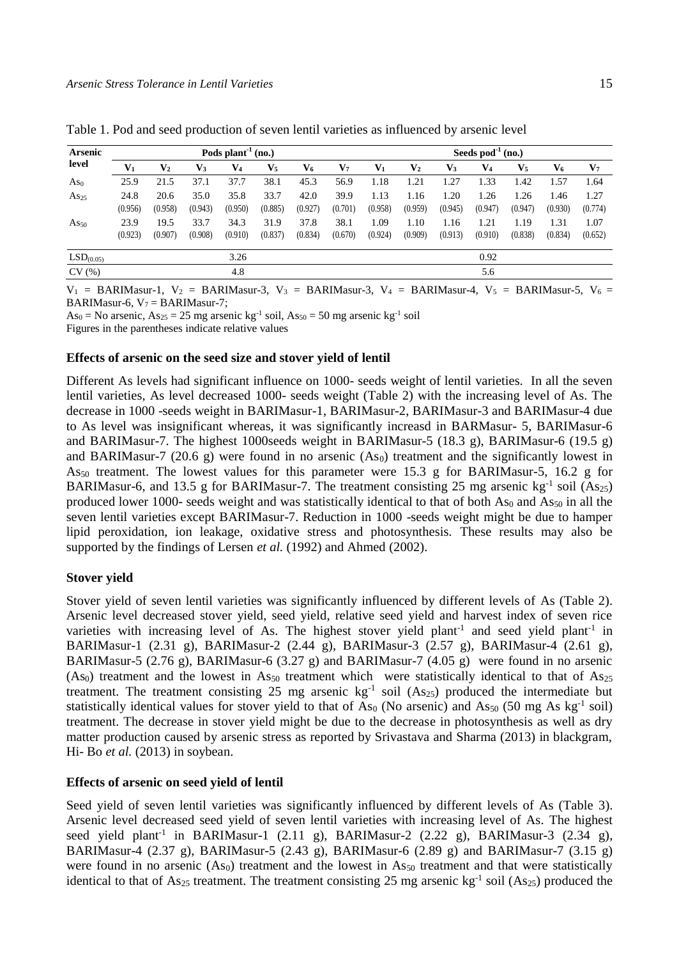| <b>Arsenic</b><br>level |                 |                 |                 | Pods plant <sup>-1</sup> (no.) |                 |                 | Seeds $pod^{-1}$ (no.) |                 |                 |                 |                 |                 |                 |                 |
|-------------------------|-----------------|-----------------|-----------------|--------------------------------|-----------------|-----------------|------------------------|-----------------|-----------------|-----------------|-----------------|-----------------|-----------------|-----------------|
|                         | $V_1$           | $\mathbf{V}_2$  | V3              | V4                             | $\mathbf{V}_5$  | V6              | $\mathbf{V}_7$         | $V_1$           | $\mathbf{V}_2$  | $\mathbf{V}_3$  | V4              | $\mathbf{V}_5$  | V6              | $\mathbf{V}_7$  |
| As <sub>0</sub>         | 25.9            | 21.5            | 37.1            | 37.7                           | 38.1            | 45.3            | 56.9                   | 1.18            | 1.21            | 1.27            | 1.33            | .42             | . 57            | 1.64            |
| As <sub>25</sub>        | 24.8<br>(0.956) | 20.6<br>(0.958) | 35.0<br>(0.943) | 35.8<br>(0.950)                | 33.7<br>(0.885) | 42.0<br>(0.927) | 39.9<br>(0.701)        | 1.13<br>(0.958) | 1.16<br>(0.959) | 1.20<br>(0.945) | 1.26<br>(0.947) | 1.26<br>(0.947) | l.46<br>(0.930) | 1.27<br>(0.774) |
| $As_{50}$               | 23.9<br>(0.923) | 19.5<br>(0.907) | 33.7<br>(0.908) | 34.3<br>(0.910)                | 31.9<br>(0.837) | 37.8<br>(0.834) | 38.1<br>(0.670)        | 1.09<br>(0.924) | 1.10<br>(0.909) | 1.16<br>(0.913) | 1.21<br>(0.910) | 1.19<br>(0.838) | 1.31<br>(0.834) | 1.07<br>(0.652) |
| LSD <sub>(0.05)</sub>   |                 |                 |                 | 3.26                           |                 |                 |                        |                 |                 |                 | 0.92            |                 |                 |                 |
| CV(%)                   |                 |                 |                 | 4.8                            |                 |                 |                        |                 |                 |                 | 5.6             |                 |                 |                 |

Table 1. Pod and seed production of seven lentil varieties as influenced by arsenic level

 $V_1$  = BARIMasur-1,  $V_2$  = BARIMasur-3,  $V_3$  = BARIMasur-3,  $V_4$  = BARIMasur-4,  $V_5$  = BARIMasur-5,  $V_6$  = BARIMasur-6,  $V_7 = BARI$ Masur-7;

As<sub>0</sub> = No arsenic, As<sub>25</sub> = 25 mg arsenic kg<sup>-1</sup> soil, As<sub>50</sub> = 50 mg arsenic kg<sup>-1</sup> soil

Figures in the parentheses indicate relative values

#### **Effects of arsenic on the seed size and stover yield of lentil**

Different As levels had significant influence on 1000- seeds weight of lentil varieties. In all the seven lentil varieties, As level decreased 1000- seeds weight (Table 2) with the increasing level of As. The decrease in 1000 -seeds weight in BARIMasur-1, BARIMasur-2, BARIMasur-3 and BARIMasur-4 due to As level was insignificant whereas, it was significantly increasd in BARMasur- 5, BARIMasur-6 and BARIMasur-7. The highest 1000seeds weight in BARIMasur-5 (18.3 g), BARIMasur-6 (19.5 g) and BARIMasur-7 (20.6 g) were found in no arsenic (As<sub>0</sub>) treatment and the significantly lowest in As<sup>50</sup> treatment. The lowest values for this parameter were 15.3 g for BARIMasur-5, 16.2 g for BARIMasur-6, and 13.5 g for BARIMasur-7. The treatment consisting 25 mg arsenic  $kg^{-1}$  soil (As<sub>25</sub>) produced lower 1000- seeds weight and was statistically identical to that of both As<sub>0</sub> and As<sub>50</sub> in all the seven lentil varieties except BARIMasur-7. Reduction in 1000 -seeds weight might be due to hamper lipid peroxidation, ion leakage, oxidative stress and photosynthesis. These results may also be supported by the findings of Lersen *et al.* (1992) and Ahmed (2002).

#### **Stover yield**

Stover yield of seven lentil varieties was significantly influenced by different levels of As (Table 2). Arsenic level decreased stover yield, seed yield, relative seed yield and harvest index of seven rice varieties with increasing level of As. The highest stover yield plant<sup>-1</sup> and seed yield plant<sup>-1</sup> in BARIMasur-1 (2.31 g), BARIMasur-2 (2.44 g), BARIMasur-3 (2.57 g), BARIMasur-4 (2.61 g), BARIMasur-5 (2.76 g), BARIMasur-6 (3.27 g) and BARIMasur-7 (4.05 g) were found in no arsenic (As<sub>0</sub>) treatment and the lowest in As<sub>50</sub> treatment which were statistically identical to that of As<sub>25</sub> treatment. The treatment consisting 25 mg arsenic  $kg<sup>-1</sup>$  soil (As<sub>25</sub>) produced the intermediate but statistically identical values for stover yield to that of  $As_0$  (No arsenic) and  $As_{50}$  (50 mg As kg<sup>-1</sup> soil) treatment. The decrease in stover yield might be due to the decrease in photosynthesis as well as dry matter production caused by arsenic stress as reported by Srivastava and Sharma (2013) in blackgram, Hi- Bo *et al.* (2013) in soybean.

#### **Effects of arsenic on seed yield of lentil**

Seed yield of seven lentil varieties was significantly influenced by different levels of As (Table 3). Arsenic level decreased seed yield of seven lentil varieties with increasing level of As. The highest seed yield plant<sup>-1</sup> in BARIMasur-1 (2.11 g), BARIMasur-2 (2.22 g), BARIMasur-3 (2.34 g), BARIMasur-4 (2.37 g), BARIMasur-5 (2.43 g), BARIMasur-6 (2.89 g) and BARIMasur-7 (3.15 g) were found in no arsenic  $(As<sub>0</sub>)$  treatment and the lowest in As<sub>50</sub> treatment and that were statistically identical to that of As<sub>25</sub> treatment. The treatment consisting 25 mg arsenic  $kg^{-1}$  soil (As<sub>25</sub>) produced the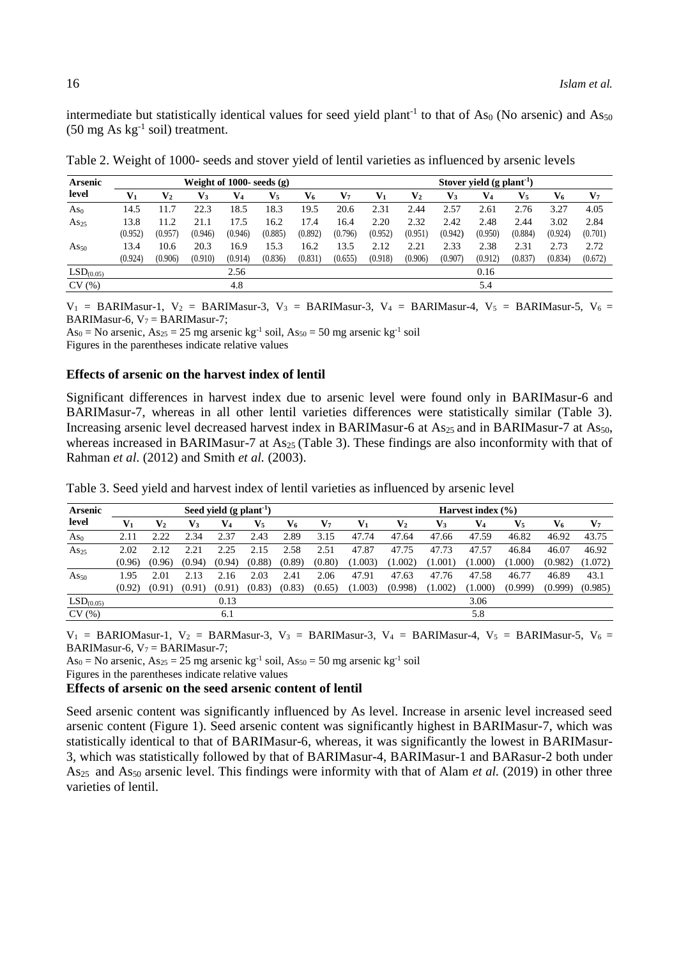intermediate but statistically identical values for seed yield plant<sup>-1</sup> to that of As<sub>0</sub> (No arsenic) and As<sub>50</sub>  $(50 \text{ mg As kg}^{-1} \text{ soil})$  treatment.

| <b>Arsenic</b><br>level |         |                | Weight of 1000- seeds $(g)$ |                |                |         | Stover yield $(g$ plant <sup>-1</sup> ) |         |                |         |                |                |         |                |
|-------------------------|---------|----------------|-----------------------------|----------------|----------------|---------|-----------------------------------------|---------|----------------|---------|----------------|----------------|---------|----------------|
|                         | Vı      | $\mathbf{V}_2$ | V3                          | V <sub>4</sub> | $\mathbf{V}_5$ | V6      | V7                                      |         | $\mathbf{V}_2$ | V3      | $\mathbf{V}_4$ | $\mathbf{V}_5$ | V6      | $\mathbf{V}_7$ |
| As <sub>0</sub>         | 14.5    | 11.7           | 22.3                        | 18.5           | 18.3           | 19.5    | 20.6                                    | 2.31    | 2.44           | 2.57    | 2.61           | 2.76           | 3.27    | 4.05           |
| $As_{25}$               | 13.8    | 11.2           | 21.1                        | 17.5           | 16.2           | 17.4    | 16.4                                    | 2.20    | 2.32           | 2.42    | 2.48           | 2.44           | 3.02    | 2.84           |
|                         | (0.952) | (0.957)        | (0.946)                     | (0.946)        | (0.885)        | (0.892) | (0.796)                                 | (0.952) | (0.951)        | (0.942) | (0.950)        | (0.884)        | (0.924) | (0.701)        |
| $As_{50}$               | 13.4    | 10.6           | 20.3                        | 16.9           | 15.3           | 6.2     | 13.5                                    | 2.12    | 2.21           | 2.33    | 2.38           | 2.31           | 2.73    | 2.72           |
|                         | (0.924) | (0.906)        | (0.910)                     | (0.914)        | (0.836)        | (0.831) | (0.655)                                 | (0.918) | (0.906)        | (0.907) | (0.912)        | (0.837)        | (0.834) | (0.672)        |
| LSD <sub>(0.05)</sub>   |         |                |                             | 2.56           |                |         |                                         |         |                |         | 0.16           |                |         |                |
| CV(%)                   |         |                |                             | 4.8            |                |         |                                         |         |                |         | 5.4            |                |         |                |

Table 2. Weight of 1000- seeds and stover yield of lentil varieties as influenced by arsenic levels

 $V_1$  = BARIMasur-1,  $V_2$  = BARIMasur-3,  $V_3$  = BARIMasur-3,  $V_4$  = BARIMasur-4,  $V_5$  = BARIMasur-5,  $V_6$  = BARIMasur-6,  $V_7 = BARI$ Masur-7;

As<sub>0</sub> = No arsenic, As<sub>25</sub> = 25 mg arsenic kg<sup>-1</sup> soil, As<sub>50</sub> = 50 mg arsenic kg<sup>-1</sup> soil

Figures in the parentheses indicate relative values

#### **Effects of arsenic on the harvest index of lentil**

Significant differences in harvest index due to arsenic level were found only in BARIMasur-6 and BARIMasur-7, whereas in all other lentil varieties differences were statistically similar (Table 3). Increasing arsenic level decreased harvest index in BARIMasur-6 at  $As_{25}$  and in BARIMasur-7 at As<sub>50</sub>, whereas increased in BARIMasur-7 at As<sub>25</sub> (Table 3). These findings are also inconformity with that of Rahman *et al*. (2012) and Smith *et al.* (2003).

| <b>Arsenic</b>        | Seed yield $(g$ plant <sup>-1</sup> ) |                |        |        |                |        |        |         | Harvest index $(\% )$ |         |         |                |         |                |  |
|-----------------------|---------------------------------------|----------------|--------|--------|----------------|--------|--------|---------|-----------------------|---------|---------|----------------|---------|----------------|--|
| level                 | $V_1$                                 | $\mathbf{V}_2$ | V3     | V4     | $\mathbf{V}_5$ | V6     | V7     | Vı      | $\mathbf{V}_2$        | V3      | V4      | $\mathbf{V}_5$ | V6      | $\mathbf{V}_7$ |  |
| As <sub>0</sub>       | 2.11                                  | 2.22           | 2.34   | 2.37   | 2.43           | 2.89   | 3.15   | 47.74   | 47.64                 | 47.66   | 47.59   | 46.82          | 46.92   | 43.75          |  |
| $As_{25}$             | 2.02                                  | 2.12           |        | 2.25   | 2.15           | 2.58   | 2.51   | 47.87   | 47.75                 | 47.73   | 47.57   | 46.84          | 46.07   | 46.92          |  |
|                       | (0.96)                                | (0.96)         | (0.94) | (0.94) | (0.88)         | (0.89) | (0.80) | (1.003) | (1.002)               | (1.001) | (1.000) | (1.000)        | (0.982) | (1.072)        |  |
| $As_{50}$             | l.95                                  | 2.01           | 2.13   | 2.16   | 2.03           | 2.41   | 2.06   | 47.91   | 47.63                 | 47.76   | 47.58   | 46.77          | 46.89   | 43.1           |  |
|                       | (0.92)                                | (0.91)         | (0.91) | (0.91) | (0.83)         | (0.83) | (0.65) | (1.003) | (0.998)               | (1.002) | (1.000) | (0.999)        | (0.999) | (0.985)        |  |
| LSD <sub>(0.05)</sub> |                                       |                |        | 0.13   |                |        |        |         |                       |         | 3.06    |                |         |                |  |
| CV(%)                 |                                       |                |        | 6.1    |                |        |        |         |                       |         | 5.8     |                |         |                |  |

Table 3. Seed yield and harvest index of lentil varieties as influenced by arsenic level

 $V_1$  = BARIOMasur-1,  $V_2$  = BARMasur-3,  $V_3$  = BARIMasur-3,  $V_4$  = BARIMasur-4,  $V_5$  = BARIMasur-5,  $V_6$  = BARIMasur-6,  $V_7 = BARIMasur-7$ ;

As<sub>0</sub> = No arsenic, As<sub>25</sub> = 25 mg arsenic kg<sup>-1</sup> soil, As<sub>50</sub> = 50 mg arsenic kg<sup>-1</sup> soil

Figures in the parentheses indicate relative values

### **Effects of arsenic on the seed arsenic content of lentil**

Seed arsenic content was significantly influenced by As level. Increase in arsenic level increased seed arsenic content (Figure 1). Seed arsenic content was significantly highest in BARIMasur-7, which was statistically identical to that of BARIMasur-6, whereas, it was significantly the lowest in BARIMasur-3, which was statistically followed by that of BARIMasur-4, BARIMasur-1 and BARasur-2 both under As<sub>25</sub> and As<sub>50</sub> arsenic level. This findings were informity with that of Alam *et al.* (2019) in other three varieties of lentil.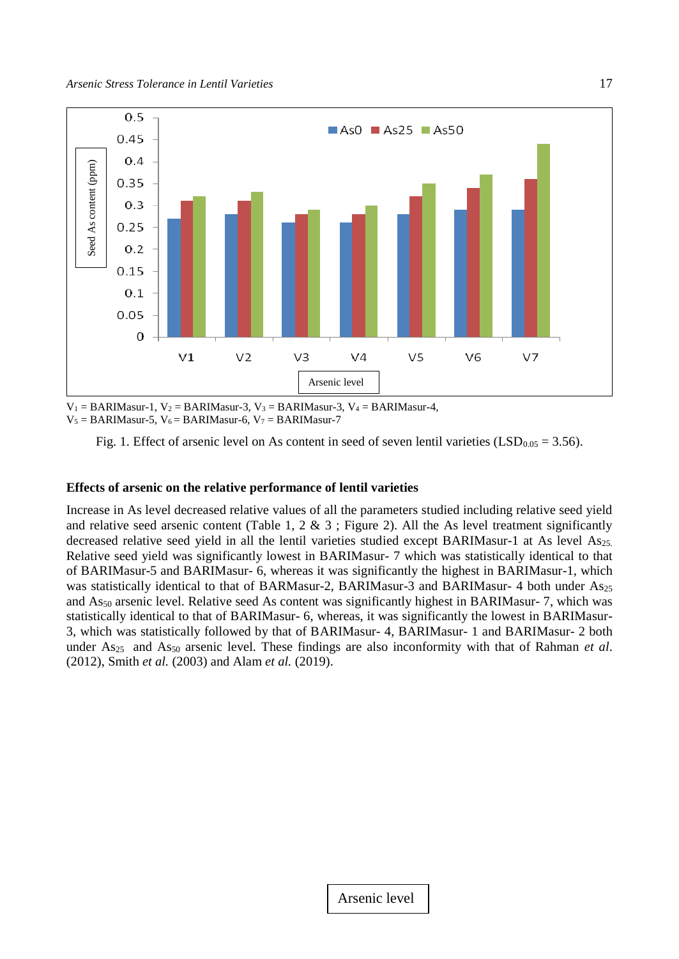

 $V_1 = BARIMasur-1$ ,  $V_2 = BARIMasur-3$ ,  $V_3 = BARIMasur-3$ ,  $V_4 = BARIMasur-4$ ,  $V_5 = BARIMasur-5$ ,  $V_6 = BARIMasur-6$ ,  $V_7 = BARIMasur-7$ 

Fig. 1. Effect of arsenic level on As content in seed of seven lentil varieties (LSD<sub>0.05</sub> = 3.56).

### **Effects of arsenic on the relative performance of lentil varieties**

Increase in As level decreased relative values of all the parameters studied including relative seed yield and relative seed arsenic content (Table 1, 2 & 3 ; Figure 2). All the As level treatment significantly decreased relative seed yield in all the lentil varieties studied except BARIMasur-1 at As level As25. Relative seed yield was significantly lowest in BARIMasur- 7 which was statistically identical to that of BARIMasur-5 and BARIMasur- 6, whereas it was significantly the highest in BARIMasur-1, which was statistically identical to that of BARMasur-2, BARIMasur-3 and BARIMasur-4 both under As<sub>25</sub> and As<sub>50</sub> arsenic level. Relative seed As content was significantly highest in BARIMasur- 7, which was statistically identical to that of BARIMasur- 6, whereas, it was significantly the lowest in BARIMasur-3, which was statistically followed by that of BARIMasur- 4, BARIMasur- 1 and BARIMasur- 2 both under As25 and As<sup>50</sup> arsenic level. These findings are also inconformity with that of Rahman *et al*. (2012), Smith *et al.* (2003) and Alam *et al.* (2019).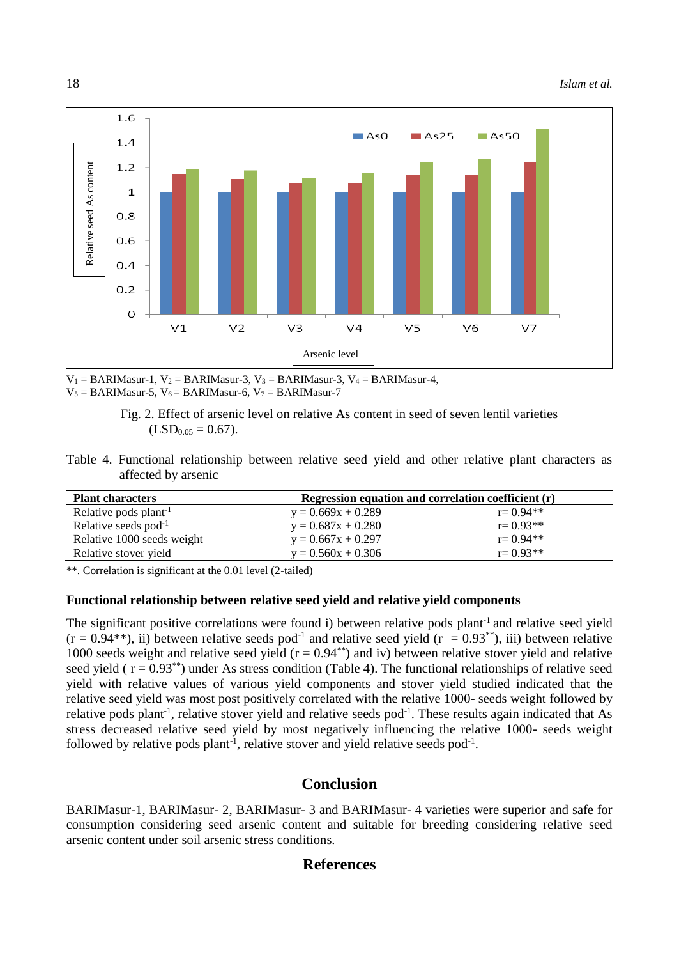

 $V_1 = BARIMasur-1$ ,  $V_2 = BARIMasur-3$ ,  $V_3 = BARIMasur-3$ ,  $V_4 = BARIMasur-4$ ,  $V_5 = BARIMasur-5$ ,  $V_6 = BARIMasur-6$ ,  $V_7 = BARIMasur-7$ 



Table 4. Functional relationship between relative seed yield and other relative plant characters as affected by arsenic

| <b>Plant characters</b>           | Regression equation and correlation coefficient (r) |              |  |  |  |  |  |
|-----------------------------------|-----------------------------------------------------|--------------|--|--|--|--|--|
| Relative pods plant <sup>-1</sup> | $y = 0.669x + 0.289$                                | $r = 0.94**$ |  |  |  |  |  |
| Relative seeds $pod^{-1}$         | $y = 0.687x + 0.280$                                | $r = 0.93**$ |  |  |  |  |  |
| Relative 1000 seeds weight        | $y = 0.667x + 0.297$                                | $r = 0.94**$ |  |  |  |  |  |
| Relative stover yield             | $y = 0.560x + 0.306$                                | $r = 0.93**$ |  |  |  |  |  |

\*\*. Correlation is significant at the 0.01 level (2-tailed)

### **Functional relationship between relative seed yield and relative yield components**

The significant positive correlations were found i) between relative pods plant<sup>-1</sup> and relative seed yield  $(r = 0.94^{**})$ , ii) between relative seeds pod<sup>-1</sup> and relative seed yield  $(r = 0.93^{**})$ , iii) between relative 1000 seeds weight and relative seed yield ( $r = 0.94$ <sup>\*\*</sup>) and iv) between relative stover yield and relative seed yield ( $r = 0.93$ <sup>\*\*</sup>) under As stress condition (Table 4). The functional relationships of relative seed yield with relative values of various yield components and stover yield studied indicated that the relative seed yield was most post positively correlated with the relative 1000- seeds weight followed by relative pods plant<sup>-1</sup>, relative stover yield and relative seeds pod<sup>-1</sup>. These results again indicated that As stress decreased relative seed yield by most negatively influencing the relative 1000- seeds weight followed by relative pods plant<sup>-1</sup>, relative stover and yield relative seeds pod<sup>-1</sup>.

## **Conclusion**

BARIMasur-1, BARIMasur- 2, BARIMasur- 3 and BARIMasur- 4 varieties were superior and safe for consumption considering seed arsenic content and suitable for breeding considering relative seed arsenic content under soil arsenic stress conditions.

## **References**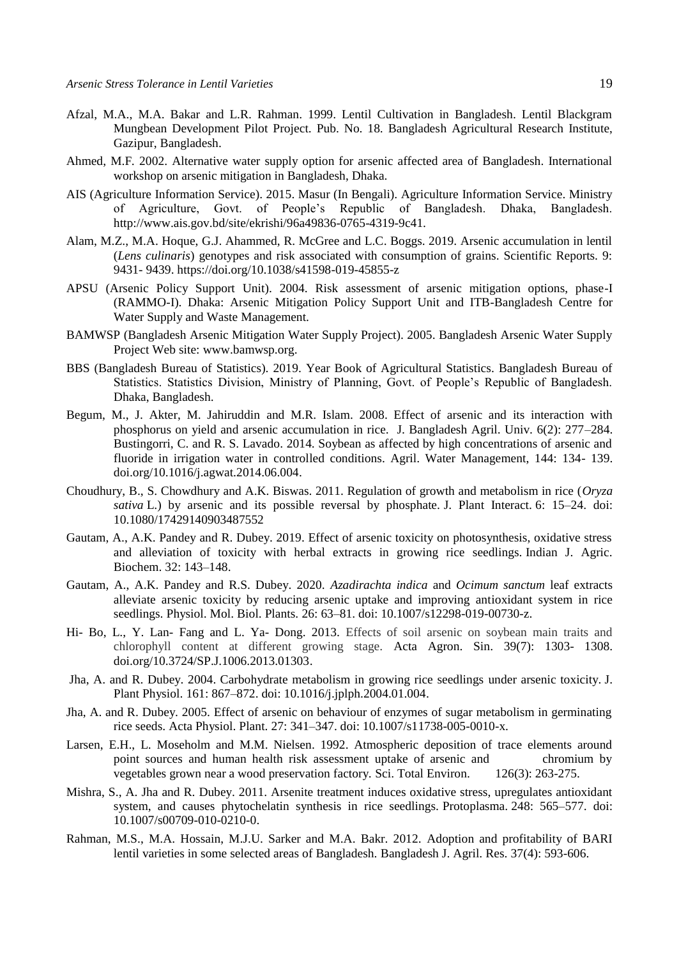- Afzal, M.A., M.A. Bakar and L.R. Rahman. 1999. Lentil Cultivation in Bangladesh. Lentil Blackgram Mungbean Development Pilot Project. Pub. No. 18. Bangladesh Agricultural Research Institute, Gazipur, Bangladesh.
- Ahmed, M.F. 2002. Alternative water supply option for arsenic affected area of Bangladesh. International workshop on arsenic mitigation in Bangladesh, Dhaka.
- AIS (Agriculture Information Service). 2015. Masur (In Bengali). Agriculture Information Service. Ministry of Agriculture, Govt. of People's Republic of Bangladesh. Dhaka, Bangladesh. <http://www.ais.gov.bd/site/ekrishi/96a49836-0765-4319-9c41.>
- Alam, M.Z., M.A. Hoque, G.J. Ahammed, R. McGree and L.C. Boggs. 2019. Arsenic accumulation in lentil (*Lens culinaris*) genotypes and risk associated with consumption of grains. Scientific Reports. 9: 9431- 9439[. https://doi.org/10.1038/s41598-019-45855-z](https://doi.org/10.1038/s41598-019-45855-z)
- APSU (Arsenic Policy Support Unit). 2004. Risk assessment of arsenic mitigation options, phase-I (RAMMO-I). Dhaka: Arsenic Mitigation Policy Support Unit and ITB-Bangladesh Centre for Water Supply and Waste Management.
- BAMWSP (Bangladesh Arsenic Mitigation Water Supply Project). 2005. Bangladesh Arsenic Water Supply Project Web site: [www.bamwsp.org.](http://www.bamwsp.org/)
- BBS (Bangladesh Bureau of Statistics). 2019. Year Book of Agricultural Statistics. Bangladesh Bureau of Statistics. Statistics Division, Ministry of Planning, Govt. of People's Republic of Bangladesh. Dhaka, Bangladesh.
- Begum, M., J. Akter, M. Jahiruddin and M.R. Islam. 2008. Effect of arsenic and its interaction with phosphorus on yield and arsenic accumulation in rice. J. Bangladesh Agril. Univ. 6(2): 277–284. Bustingorri, C. and R. S. Lavado. 2014. Soybean as affected by high concentrations of arsenic and fluoride in irrigation water in controlled conditions. Agril. Water Management, 144: 134- 139. [doi.org/10.1016/j.agwat.2014.06.004.](https://doi.org/10.1016/j.agwat.2014.06.004)
- Choudhury, B., S. Chowdhury and A.K. Biswas. 2011. Regulation of growth and metabolism in rice (*Oryza sativa* L.) by arsenic and its possible reversal by phosphate. J. Plant Interact. 6: 15–24. doi: 10.1080/17429140903487552
- Gautam, A., A.K. Pandey and R. Dubey. 2019. Effect of arsenic toxicity on photosynthesis, oxidative stress and alleviation of toxicity with herbal extracts in growing rice seedlings. Indian J. Agric. Biochem. 32: 143–148.
- Gautam, A., A.K. Pandey and R.S. Dubey. 2020. *Azadirachta indica* and *Ocimum sanctum* leaf extracts alleviate arsenic toxicity by reducing arsenic uptake and improving antioxidant system in rice seedlings. Physiol. Mol. Biol. Plants. 26: 63–81. doi: 10.1007/s12298-019-00730-z.
- Hi- Bo, L., Y. Lan- Fang and L. Ya- Dong. 2013. Effects of soil arsenic on soybean main traits and chlorophyll content at different growing stage. [Acta Agron. Sin.](http://zwxb.chinacrops.org/) 39(7): 1303- 1308. [doi.org/10.3724/SP.J.1006.2013.01303.](https://doi.org/10.3724/SP.J.1006.2013.01303)
- Jha, A. and R. Dubey. 2004. Carbohydrate metabolism in growing rice seedlings under arsenic toxicity. J. Plant Physiol. 161: 867–872. doi: 10.1016/j.jplph.2004.01.004.
- Jha, A. and R. Dubey. 2005. Effect of arsenic on behaviour of enzymes of sugar metabolism in germinating rice seeds. Acta Physiol. Plant. 27: 341–347. doi: 10.1007/s11738-005-0010-x.
- Larsen, E.H., L. Moseholm and M.M. Nielsen. 1992. Atmospheric deposition of trace elements around point sources and human health risk assessment uptake of arsenic and chromium by vegetables grown near a wood preservation factory. Sci. Total Environ. 126(3): 263-275.
- Mishra, S., A. Jha and R. Dubey. 2011. Arsenite treatment induces oxidative stress, upregulates antioxidant system, and causes phytochelatin synthesis in rice seedlings. Protoplasma. 248: 565–577. doi: 10.1007/s00709-010-0210-0.
- Rahman, M.S., M.A. Hossain, M.J.U. Sarker and M.A. Bakr. 2012. Adoption and profitability of BARI lentil varieties in some selected areas of Bangladesh. Bangladesh J. Agril. Res. 37(4): 593-606.